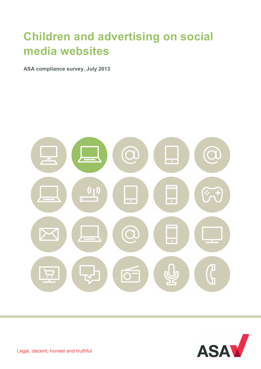# **Children and advertising on social media websites**

**ASA compliance survey, July 2013**





Legal, decent, honest and truthful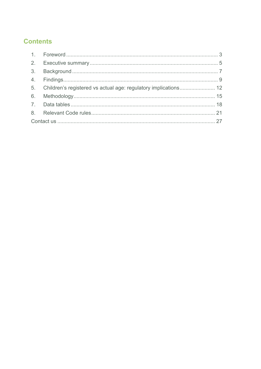# **Contents**

| 5. Children's registered vs actual age: regulatory implications 12 |  |
|--------------------------------------------------------------------|--|
|                                                                    |  |
|                                                                    |  |
|                                                                    |  |
|                                                                    |  |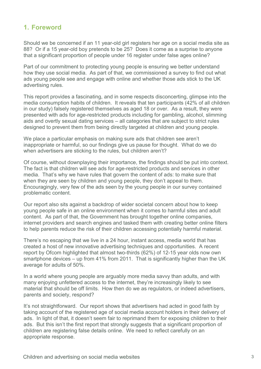# **1. Foreword**

Should we be concerned if an 11 year-old girl registers her age on a social media site as 88? Or if a 15 year-old boy pretends to be 25? Does it come as a surprise to anyone that a significant proportion of people under 16 register under false ages online?

Part of our commitment to protecting young people is ensuring we better understand how they use social media. As part of that, we commissioned a survey to find out what ads young people see and engage with online and whether those ads stick to the UK advertising rules.

This report provides a fascinating, and in some respects disconcerting, glimpse into the media consumption habits of children. It reveals that ten participants (42% of all children in our study) falsely registered themselves as aged 18 or over. As a result, they were presented with ads for age-restricted products including for gambling, alcohol, slimming aids and overtly sexual dating services – all categories that are subject to strict rules designed to prevent them from being directly targeted at children and young people.

We place a particular emphasis on making sure ads that children see aren't inappropriate or harmful, so our findings give us pause for thought. What do we do when advertisers are sticking to the rules, but children aren't?

Of course, without downplaying their importance, the findings should be put into context. The fact is that children will see ads for age-restricted products and services in other media. That's why we have rules that govern the content of ads: to make sure that when they are seen by children and young people, they don't appeal to them. Encouragingly, very few of the ads seen by the young people in our survey contained problematic content.

Our report also sits against a backdrop of wider societal concern about how to keep young people safe in an online environment when it comes to harmful sites and adult content. As part of that, the Government has brought together online companies, internet providers and search engines and tasked them with creating better online filters to help parents reduce the risk of their children accessing potentially harmful material.

There's no escaping that we live in a 24 hour, instant access, media world that has created a host of new innovative advertising techniques and opportunities. A recent report by Ofcom highlighted that almost two-thirds (62%) of 12-15 year olds now own smartphone devices – up from 41% from 2011. That is significantly higher than the UK average for adults of 50%.

In a world where young people are arguably more media savvy than adults, and with many enjoying unfettered access to the internet, they're increasingly likely to see material that should be off limits. How then do we as regulators, or indeed advertisers, parents and society, respond?

It's not straightforward. Our report shows that advertisers had acted in good faith by taking account of the registered age of social media account holders in their delivery of ads. In light of that, it doesn't seem fair to reprimand them for exposing children to their ads. But this isn't the first report that strongly suggests that a significant proportion of children are registering false details online. We need to reflect carefully on an appropriate response.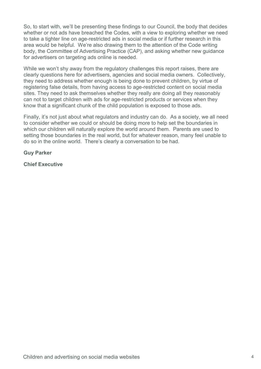So, to start with, we'll be presenting these findings to our Council, the body that decides whether or not ads have breached the Codes, with a view to exploring whether we need to take a tighter line on age-restricted ads in social media or if further research in this area would be helpful. We're also drawing them to the attention of the Code writing body, the Committee of Advertising Practice (CAP), and asking whether new guidance for advertisers on targeting ads online is needed.

While we won't shy away from the regulatory challenges this report raises, there are clearly questions here for advertisers, agencies and social media owners. Collectively, they need to address whether enough is being done to prevent children, by virtue of registering false details, from having access to age-restricted content on social media sites. They need to ask themselves whether they really are doing all they reasonably can not to target children with ads for age-restricted products or services when they know that a significant chunk of the child population is exposed to those ads.

Finally, it's not just about what regulators and industry can do. As a society, we all need to consider whether we could or should be doing more to help set the boundaries in which our children will naturally explore the world around them. Parents are used to setting those boundaries in the real world, but for whatever reason, many feel unable to do so in the online world. There's clearly a conversation to be had.

## **Guy Parker**

**Chief Executive**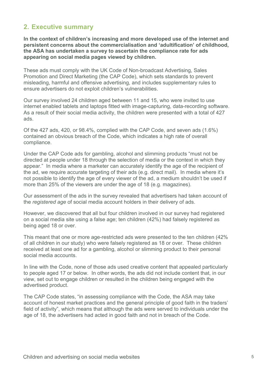# **2. Executive summary**

**In the context of children's increasing and more developed use of the internet and persistent concerns about the commercialisation and 'adultification' of childhood, the ASA has undertaken a survey to ascertain the compliance rate for ads appearing on social media pages viewed by children.**

These ads must comply with the UK Code of Non-broadcast Advertising, Sales Promotion and Direct Marketing (the CAP Code), which sets standards to prevent misleading, harmful and offensive advertising, and includes supplementary rules to ensure advertisers do not exploit children's vulnerabilities.

Our survey involved 24 children aged between 11 and 15, who were invited to use internet enabled tablets and laptops fitted with image-capturing, data-recording software. As a result of their social media activity, the children were presented with a total of 427 ads.

Of the 427 ads, 420, or 98.4%, complied with the CAP Code, and seven ads (1.6%) contained an obvious breach of the Code, which indicates a high rate of overall compliance.

Under the CAP Code ads for gambling, alcohol and slimming products "must not be directed at people under 18 through the selection of media or the context in which they appear." In media where a marketer can accurately identify the age of the recipient of the ad, we require accurate targeting of their ads (e.g. direct mail). In media where it's not possible to identify the age of every viewer of the ad, a medium shouldn't be used if more than 25% of the viewers are under the age of 18 (e.g. magazines).

Our assessment of the ads in the survey revealed that advertisers had taken account of the *registered age* of social media account holders in their delivery of ads.

However, we discovered that all but four children involved in our survey had registered on a social media site using a false age; ten children (42%) had falsely registered as being aged 18 or over.

This meant that one or more age-restricted ads were presented to the ten children (42% of all children in our study) who were falsely registered as 18 or over. These children received at least one ad for a gambling, alcohol or slimming product to their personal social media accounts.

In line with the Code, none of those ads used creative content that appealed particularly to people aged 17 or below. In other words, the ads did not include content that, in our view, set out to engage children or resulted in the children being engaged with the advertised product.

The CAP Code states, "in assessing compliance with the Code, the ASA may take account of honest market practices and the general principle of good faith in the traders' field of activity", which means that although the ads were served to individuals under the age of 18, the advertisers had acted in good faith and not in breach of the Code.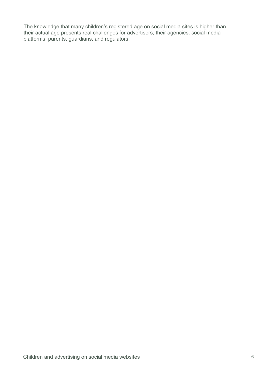The knowledge that many children's registered age on social media sites is higher than their actual age presents real challenges for advertisers, their agencies, social media platforms, parents, guardians, and regulators.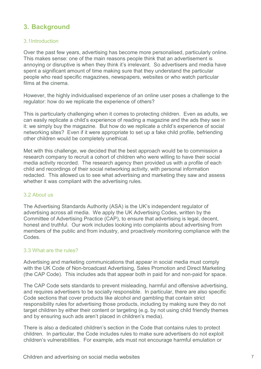# **3. Background**

## 3.1Introduction

Over the past few years, advertising has become more personalised, particularly online. This makes sense: one of the main reasons people think that an advertisement is annoying or disruptive is when they think it's irrelevant. So advertisers and media have spent a significant amount of time making sure that they understand the particular people who read specific magazines, newspapers, websites or who watch particular films at the cinema.

However, the highly individualised experience of an online user poses a challenge to the regulator: how do we replicate the experience of others?

This is particularly challenging when it comes to protecting children. Even as adults, we can easily replicate a child's experience of reading a magazine and the ads they see in it: we simply buy the magazine. But how do we replicate a child's experience of social networking sites? Even if it were appropriate to set up a fake child profile, befriending other children would be completely unethical.

Met with this challenge, we decided that the best approach would be to commission a research company to recruit a cohort of children who were willing to have their social media activity recorded. The research agency then provided us with a profile of each child and recordings of their social networking activity, with personal information redacted. This allowed us to see what advertising and marketing they saw and assess whether it was compliant with the advertising rules.

#### 3.2 About us

The Advertising Standards Authority (ASA) is the UK's independent regulator of advertising across all media. We apply the UK Advertising Codes, written by the Committee of Advertising Practice (CAP), to ensure that advertising is legal, decent, honest and truthful. Our work includes looking into complaints about advertising from members of the public and from industry, and proactively monitoring compliance with the Codes.

#### 3.3 What are the rules?

Advertising and marketing communications that appear in social media must comply with the UK Code of Non-broadcast Advertising, Sales Promotion and Direct Marketing (the CAP Code). This includes ads that appear both in paid for and non-paid for space.

The CAP Code sets standards to prevent misleading, harmful and offensive advertising, and requires advertisers to be socially responsible. In particular, there are also specific Code sections that cover products like alcohol and gambling that contain strict responsibility rules for advertising those products, including by making sure they do not target children by either their content or targeting (e.g. by not using child friendly themes and by ensuring such ads aren't placed in children's media).

There is also a dedicated children's section in the Code that contains rules to protect children. In particular, the Code includes rules to make sure advertisers do not exploit children's vulnerabilities. For example, ads must not encourage harmful emulation or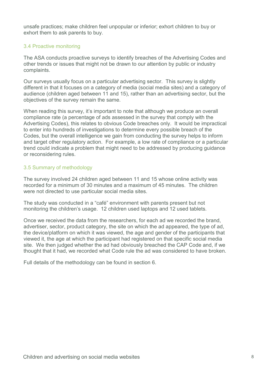unsafe practices; make children feel unpopular or inferior; exhort children to buy or exhort them to ask parents to buy.

# 3.4 Proactive monitoring

The ASA conducts proactive surveys to identify breaches of the Advertising Codes and other trends or issues that might not be drawn to our attention by public or industry complaints.

Our surveys usually focus on a particular advertising sector. This survey is slightly different in that it focuses on a category of media (social media sites) and a category of audience (children aged between 11 and 15), rather than an advertising sector, but the objectives of the survey remain the same.

When reading this survey, it's important to note that although we produce an overall compliance rate (a percentage of ads assessed in the survey that comply with the Advertising Codes), this relates to obvious Code breaches only. It would be impractical to enter into hundreds of investigations to determine every possible breach of the Codes, but the overall intelligence we gain from conducting the survey helps to inform and target other regulatory action. For example, a low rate of compliance or a particular trend could indicate a problem that might need to be addressed by producing guidance or reconsidering rules.

# 3.5 Summary of methodology

The survey involved 24 children aged between 11 and 15 whose online activity was recorded for a minimum of 30 minutes and a maximum of 45 minutes. The children were not directed to use particular social media sites.

The study was conducted in a "café" environment with parents present but not monitoring the children's usage. 12 children used laptops and 12 used tablets.

Once we received the data from the researchers, for each ad we recorded the brand, advertiser, sector, product category, the site on which the ad appeared, the type of ad, the device/platform on which it was viewed, the age and gender of the participants that viewed it, the age at which the participant had registered on that specific social media site. We then judged whether the ad had obviously breached the CAP Code and, if we thought that it had, we recorded what Code rule the ad was considered to have broken.

Full details of the methodology can be found in section 6.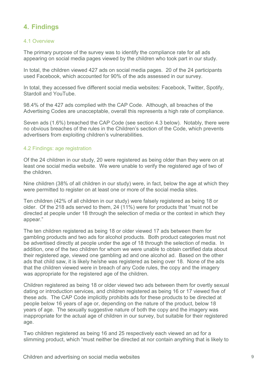# **4. Findings**

#### 4.1 Overview

The primary purpose of the survey was to identify the compliance rate for all ads appearing on social media pages viewed by the children who took part in our study.

In total, the children viewed 427 ads on social media pages. 20 of the 24 participants used Facebook, which accounted for 90% of the ads assessed in our survey.

In total, they accessed five different social media websites: Facebook, Twitter, Spotify, Stardoll and YouTube.

98.4% of the 427 ads complied with the CAP Code. Although, all breaches of the Advertising Codes are unacceptable, overall this represents a high rate of compliance.

Seven ads (1.6%) breached the CAP Code (see section 4.3 below). Notably, there were no obvious breaches of the rules in the Children's section of the Code, which prevents advertisers from exploiting children's vulnerabilities.

#### 4.2 Findings: age registration

Of the 24 children in our study, 20 were registered as being older than they were on at least one social media website. We were unable to verify the registered age of two of the children.

Nine children (38% of all children in our study) were, in fact, below the age at which they were permitted to register on at least one or more of the social media sites.

Ten children (42% of all children in our study) were falsely registered as being 18 or older. Of the 218 ads served to them, 24 (11%) were for products that "must not be directed at people under 18 through the selection of media or the context in which they appear."

The ten children registered as being 18 or older viewed 17 ads between them for gambling products and two ads for alcohol products. Both product categories must not be advertised directly at people under the age of 18 through the selection of media. In addition, one of the two children for whom we were unable to obtain certified data about their registered age, viewed one gambling ad and one alcohol ad. Based on the other ads that child saw, it is likely he/she was registered as being over 18. None of the ads that the children viewed were in breach of any Code rules, the copy and the imagery was appropriate for the registered age of the children.

Children registered as being 18 or older viewed two ads between them for overtly sexual dating or introduction services, and children registered as being 16 or 17 viewed five of these ads. The CAP Code implicitly prohibits ads for these products to be directed at people below 16 years of age or, depending on the nature of the product, below 18 years of age. The sexually suggestive nature of both the copy and the imagery was inappropriate for the actual age of children in our survey, but suitable for their registered age.

Two children registered as being 16 and 25 respectively each viewed an ad for a slimming product, which "must neither be directed at nor contain anything that is likely to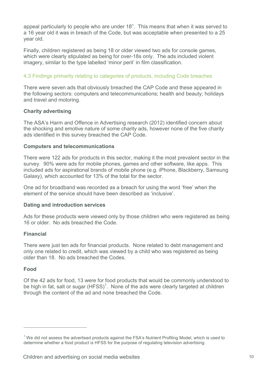appeal particularly to people who are under 18". This means that when it was served to a 16 year old it was in breach of the Code, but was acceptable when presented to a 25 year old.

Finally, children registered as being 18 or older viewed two ads for console games, which were clearly stipulated as being for over-18s only. The ads included violent imagery, similar to the type labelled 'minor peril' in film classification.

# 4.3 Findings primarily relating to categories of products, including Code breaches

There were seven ads that obviously breached the CAP Code and these appeared in the following sectors: computers and telecommunications; health and beauty; holidays and travel and motoring.

## **Charity advertising**

The ASA's Harm and Offence in Advertising research (2012) identified concern about the shocking and emotive nature of some charity ads, however none of the five charity ads identified in this survey breached the CAP Code.

## **Computers and telecommunications**

There were 122 ads for products in this sector, making it the most prevalent sector in the survey. 90% were ads for mobile phones, games and other software, like apps. This included ads for aspirational brands of mobile phone (e.g. iPhone, Blackberry, Samsung Galaxy), which accounted for 13% of the total for the sector.

One ad for broadband was recorded as a breach for using the word 'free' when the element of the service should have been described as 'inclusive'.

# **Dating and introduction services**

Ads for these products were viewed only by those children who were registered as being 16 or older. No ads breached the Code.

#### **Financial**

There were just ten ads for financial products. None related to debt management and only one related to credit, which was viewed by a child who was registered as being older than 18. No ads breached the Codes.

# **Food**

 $\overline{a}$ 

Of the 42 ads for food, 13 were for food products that would be commonly understood to be high in fat, salt or sugar  $(HFSS)^1$ . None of the ads were clearly targeted at children through the content of the ad and none breached the Code.

 $1$  We did not assess the advertised products against the FSA's Nutrient Profiling Model, which is used to determine whether a food product is HFSS for the purpose of regulating television advertising.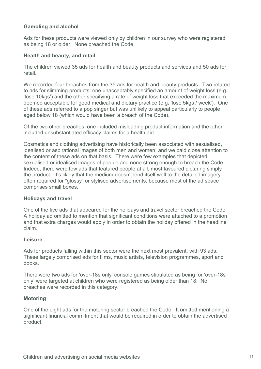## **Gambling and alcohol**

Ads for these products were viewed only by children in our survey who were registered as being 18 or older. None breached the Code.

#### **Health and beauty, and retail**

The children viewed 35 ads for health and beauty products and services and 50 ads for retail.

We recorded four breaches from the 35 ads for health and beauty products. Two related to ads for slimming products: one unacceptably specified an amount of weight loss (e.g. 'lose 10kgs') and the other specifying a rate of weight loss that exceeded the maximum deemed acceptable for good medical and dietary practice (e.g. 'lose 5kgs / week'). One of these ads referred to a pop singer but was unlikely to appeal particularly to people aged below 18 (which would have been a breach of the Code).

Of the two other breaches, one included misleading product information and the other included unsubstantiated efficacy claims for a health aid.

Cosmetics and clothing advertising have historically been associated with sexualised, idealised or aspirational images of both men and women, and we paid close attention to the content of these ads on that basis. There were few examples that depicted sexualised or idealised images of people and none strong enough to breach the Code. Indeed, there were few ads that featured people at all, most favoured picturing simply the product. It's likely that the medium doesn't lend itself well to the detailed imagery often required for "glossy" or stylised advertisements, because most of the ad space comprises small boxes.

#### **Holidays and travel**

One of the five ads that appeared for the holidays and travel sector breached the Code. A holiday ad omitted to mention that significant conditions were attached to a promotion and that extra charges would apply in order to obtain the holiday offered in the headline claim.

#### **Leisure**

Ads for products falling within this sector were the next most prevalent, with 93 ads. These largely comprised ads for films, music artists, television programmes, sport and books.

There were two ads for 'over-18s only' console games stipulated as being for 'over-18s only' were targeted at children who were registered as being older than 18. No breaches were recorded in this category.

#### **Motoring**

One of the eight ads for the motoring sector breached the Code. It omitted mentioning a significant financial commitment that would be required in order to obtain the advertised product.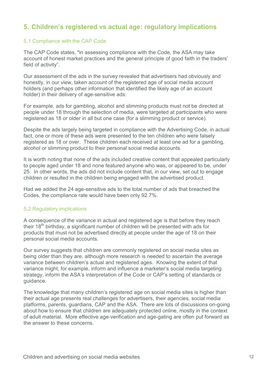# **5. Children's registered vs actual age: regulatory implications**

## 5.1 Compliance with the CAP Code

The CAP Code states, "in assessing compliance with the Code, the ASA may take account of honest market practices and the general principle of good faith in the traders' field of activity".

Our assessment of the ads in the survey revealed that advertisers had obviously and honestly, in our view, taken account of the registered age of social media account holders (and perhaps other information that identified the likely age of an account holder) in their delivery of age-sensitive ads.

For example, ads for gambling, alcohol and slimming products must not be directed at people under 18 through the selection of media, were targeted at participants who were registered as 18 or older in all but one case (for a slimming product or service).

Despite the ads largely being targeted in compliance with the Advertising Code, in actual fact, one or more of these ads were presented to the ten children who were falsely registered as 18 or over. These children each received at least one ad for a gambling, alcohol or slimming product to their personal social media accounts.

It is worth noting that none of the ads included creative content that appealed particularly to people aged under 18 and none featured anyone who was, or appeared to be, under 25. In other words, the ads did not include content that, in our view, set out to engage children or resulted in the children being engaged with the advertised product.

Had we added the 24 age-sensitive ads to the total number of ads that breached the Codes, the compliance rate would have been only 92.7%.

#### 5.2 Regulatory implications

A consequence of the variance in actual and registered age is that before they reach their 18<sup>th</sup> birthday, a significant number of children will be presented with ads for products that must not be advertised directly at people under the age of 18 on their personal social media accounts.

Our survey suggests that children are commonly registered on social media sites as being older than they are, although more research is needed to ascertain the average variance between children's actual and registered ages. Knowing the extent of that variance might, for example, inform and influence a marketer's social media targeting strategy, inform the ASA's interpretation of the Code or CAP's setting of standards or guidance.

The knowledge that many children's registered age on social media sites is higher than their actual age presents real challenges for advertisers, their agencies, social media platforms, parents, guardians, CAP and the ASA. There are lots of discussions on-going about how to ensure that children are adequately protected online, mostly in the context of adult material. More effective age-verification and age-gating are often put forward as the answer to these concerns.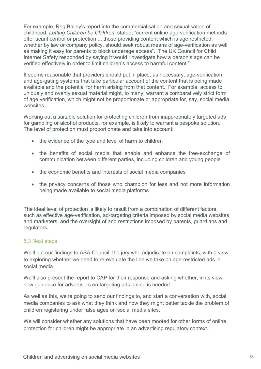For example, Reg Bailey's report into the commercialisation and sexualisation of childhood, *Letting Children be Children*, stated, "current online age-verification methods offer scant control or protection ... those providing content which is age restricted, whether by law or company policy, should seek robust means of age-verification as well as making it easy for parents to block underage access". The UK Council for Child Internet Safety responded by saying it would "investigate how a person's age can be verified effectively in order to limit children's access to harmful content."

It seems reasonable that providers should put in place, as necessary, age-verification and age-gating systems that take particular account of the content that is being made available and the potential for harm arising from that content. For example, access to uniquely and overtly sexual material might, to many, warrant a comparatively strict form of age verification, which might not be proportionate or appropriate for, say, social media websites.

Working out a suitable solution for protecting children from inappropriately targeted ads for gambling or alcohol products, for example, is likely to warrant a bespoke solution. The level of protection must proportionate and take into account:

- the evidence of the type and level of harm to children
- the benefits of social media that enable and enhance the free-exchange of communication between different parties, including children and young people
- the economic benefits and interests of social media companies
- the privacy concerns of those who champion for less and not more information being made available to social media platforms

The ideal level of protection is likely to result from a combination of different factors, such as effective age-verification, ad-targeting criteria imposed by social media websites and marketers, and the oversight of and restrictions imposed by parents, guardians and regulators.

#### 5.3 Next steps

We'll put our findings to ASA Council, the jury who adjudicate on complaints, with a view to exploring whether we need to re-evaluate the line we take on age-restricted ads in social media.

We'll also present the report to CAP for their response and asking whether, in its view, new guidance for advertisers on targeting ads online is needed.

As well as this, we're going to send our findings to, and start a conversation with, social media companies to ask what they think and how they might better tackle the problem of children registering under false ages on social media sites.

We will consider whether any solutions that have been mooted for other forms of online protection for children might be appropriate in an advertising regulatory context.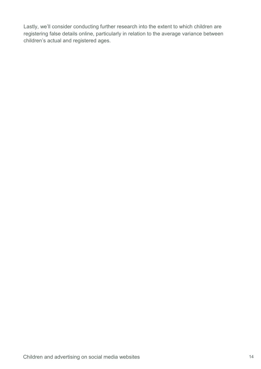Lastly, we'll consider conducting further research into the extent to which children are registering false details online, particularly in relation to the average variance between children's actual and registered ages.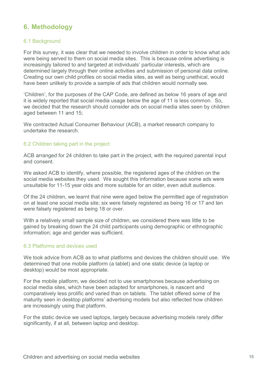# **6. Methodology**

#### 6.1 Background

For this survey, it was clear that we needed to involve children in order to know what ads were being served to them on social media sites. This is because online advertising is increasingly tailored to and targeted at individuals' particular interests, which are determined largely through their online activities and submission of personal data online. Creating our own child profiles on social media sites, as well as being unethical, would have been unlikely to provide a sample of ads that children would normally see.

'Children', for the purposes of the CAP Code, are defined as below 16 years of age and it is widely reported that social media usage below the age of 11 is less common. So, we decided that the research should consider ads on social media sites seen by children aged between 11 and 15;

We contracted Actual Consumer Behaviour (ACB), a market research company to undertake the research.

#### 6.2 Children taking part in the project

ACB arranged for 24 children to take part in the project, with the required parental input and consent.

We asked ACB to identify, where possible, the registered ages of the children on the social media websites they used. We sought this information because some ads were unsuitable for 11-15 year olds and more suitable for an older, even adult audience.

Of the 24 children, we learnt that nine were aged below the permitted age of registration on at least one social media site; six were falsely registered as being 16 or 17 and ten were falsely registered as being 18 or over.

With a relatively small sample size of children, we considered there was little to be gained by breaking down the 24 child participants using demographic or ethnographic information; age and gender was sufficient.

#### 6.3 Platforms and devices used

We took advice from ACB as to what platforms and devices the children should use. We determined that one mobile platform (a tablet) and one static device (a laptop or desktop) would be most appropriate.

For the mobile platform, we decided not to use smartphones because advertising on social media sites, which have been adapted for smartphones, is nascent and comparatively less prolific and varied than on tablets. The tablet offered some of the maturity seen in desktop platforms' advertising models but also reflected how children are increasingly using that platform.

For the static device we used laptops, largely because advertising models rarely differ significantly, if at all, between laptop and desktop.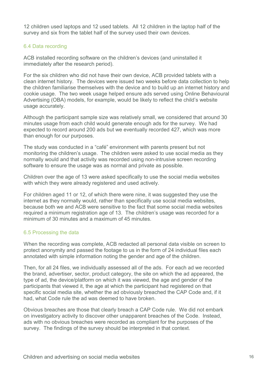12 children used laptops and 12 used tablets. All 12 children in the laptop half of the survey and six from the tablet half of the survey used their own devices.

# 6.4 Data recording

ACB installed recording software on the children's devices (and uninstalled it immediately after the research period).

For the six children who did not have their own device, ACB provided tablets with a clean internet history. The devices were issued two weeks before data collection to help the children familiarise themselves with the device and to build up an internet history and cookie usage. The two week usage helped ensure ads served using Online Behavioural Advertising (OBA) models, for example, would be likely to reflect the child's website usage accurately.

Although the participant sample size was relatively small, we considered that around 30 minutes usage from each child would generate enough ads for the survey. We had expected to record around 200 ads but we eventually recorded 427, which was more than enough for our purposes.

The study was conducted in a "café" environment with parents present but not monitoring the children's usage. The children were asked to use social media as they normally would and that activity was recorded using non-intrusive screen recording software to ensure the usage was as normal and private as possible.

Children over the age of 13 were asked specifically to use the social media websites with which they were already registered and used actively.

For children aged 11 or 12, of which there were nine, it was suggested they use the internet as they normally would, rather than specifically use social media websites, because both we and ACB were sensitive to the fact that some social media websites required a minimum registration age of 13. The children's usage was recorded for a minimum of 30 minutes and a maximum of 45 minutes.

# 6.5 Processing the data

When the recording was complete, ACB redacted all personal data visible on screen to protect anonymity and passed the footage to us in the form of 24 individual files each annotated with simple information noting the gender and age of the children.

Then, for all 24 files, we individually assessed all of the ads. For each ad we recorded the brand, advertiser, sector, product category, the site on which the ad appeared, the type of ad, the device/platform on which it was viewed, the age and gender of the participants that viewed it, the age at which the participant had registered on that specific social media site, whether the ad obviously breached the CAP Code and, if it had, what Code rule the ad was deemed to have broken.

Obvious breaches are those that clearly breach a CAP Code rule. We did not embark on investigatory activity to discover other unapparent breaches of the Code. Instead, ads with no obvious breaches were recorded as compliant for the purposes of the survey. The findings of the survey should be interpreted in that context.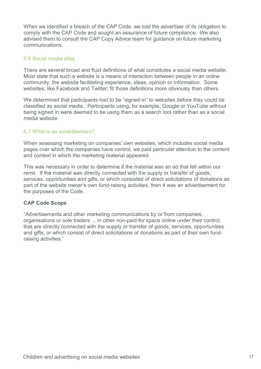When we identified a breach of the CAP Code, we told the advertiser of its obligation to comply with the CAP Code and sought an assurance of future compliance. We also advised them to consult the CAP Copy Advice team for guidance on future marketing communications.

# 6.6 Social media sites

There are several broad and fluid definitions of what constitutes a social media website. Most state that such a website is a means of interaction between people in an online community, the website facilitating experience, ideas, opinion or information. Some websites, like Facebook and Twitter, fit those definitions more obviously than others.

We determined that participants had to be "signed-in" to websites before they could be classified as social media. Participants using, for example, Google or YouTube without being signed in were deemed to be using them as a search tool rather than as a social media website.

#### 6.7 What is an advertisement?

When assessing marketing on companies' own websites, which includes social media pages over which the companies have control, we paid particular attention to the content and context in which the marketing material appeared.

This was necessary in order to determine if the material was an ad that fell within our remit. If the material was directly connected with the supply or transfer of goods, services, opportunities and gifts, or which consisted of direct solicitations of donations as part of the website owner's own fund-raising activities, then it was an advertisement for the purposes of the Code.

#### **CAP Code Scope**

"Advertisements and other marketing communications by or from companies, organisations or sole traders ... in other non-paid-for space online under their control, that are directly connected with the supply or transfer of goods, services, opportunities and gifts, or which consist of direct solicitations of donations as part of their own fundraising activities."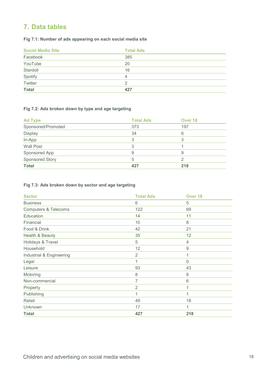# **7. Data tables**

# **Fig 7.1: Number of ads appearing on each social media site**

| <b>Social Media Site</b> | <b>Total Ads</b> |
|--------------------------|------------------|
| Facebook                 | 385              |
| YouTube                  | 20               |
| Stardoll                 | 16               |
| Spotify                  | 4                |
| Twitter                  |                  |
| <b>Total</b>             | 427              |

#### **Fig 7.2: Ads broken down by type and age targeting**

| <b>Ad Type</b>     | <b>Total Ads</b> | Over <sub>18</sub> |
|--------------------|------------------|--------------------|
| Sponsored/Promoted | 373              | 197                |
| Display            | 34               | 6                  |
| In-App             | 3                | 3                  |
| Wall Post          | 3                |                    |
| Sponsored App      | 9                | 9                  |
| Sponsored Story    | 5                |                    |
| <b>Total</b>       | 427              | 218                |

#### **Fig 7.3: Ads broken down by sector and age targeting**

| <b>Sector</b>                   | <b>Total Ads</b> | Over <sub>18</sub> |
|---------------------------------|------------------|--------------------|
| <b>Business</b>                 | 6                | 5                  |
| <b>Computers &amp; Telecoms</b> | 122              | 69                 |
| Education                       | 14               | 11                 |
| Financial                       | 10               | $\,8\,$            |
| Food & Drink                    | 42               | 21                 |
| Health & Beauty                 | 35               | 12                 |
| Holidays & Travel               | 5                | 4                  |
| Household                       | 12               | $\hbox{9}$         |
| Industrial & Engineering        | $\overline{2}$   | 1                  |
| Legal                           | 1                | $\mathbf 0$        |
| Leisure                         | 93               | 43                 |
| Motoring                        | 8                | 6                  |
| Non-commercial                  | $\overline{7}$   | 6                  |
| Property                        | $\overline{2}$   | 1                  |
| Publishing                      | 1                | 1                  |
| Retail                          | 49               | 18                 |
| Unknown                         | 17               | 1                  |
| <b>Total</b>                    | 427              | 218                |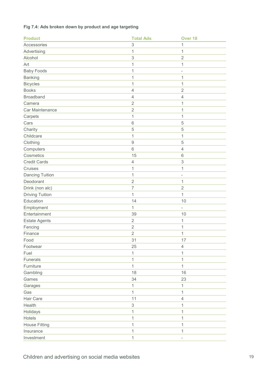| <b>Product</b>         | <b>Total Ads</b> | Over <sub>18</sub>        |
|------------------------|------------------|---------------------------|
| Accessories            | 3                | 1                         |
| Advertising            | 1                | 1                         |
| Alcohol                | 3                | $\overline{2}$            |
| Art                    | $\mathbf 1$      | $\mathbf 1$               |
| <b>Baby Foods</b>      | 1                | $\overline{\phantom{m}}$  |
| <b>Banking</b>         | $\mathbf 1$      | 1                         |
| <b>Bicycles</b>        | 1                | 1                         |
| <b>Books</b>           | $\overline{4}$   | $\overline{2}$            |
| <b>Broadband</b>       | $\overline{4}$   | $\overline{4}$            |
| Camera                 | $\mathbf 2$      | 1                         |
| Car Maintenance        | $\mathbf 2$      | 1                         |
| Carpets                | 1                | 1                         |
| Cars                   | 6                | 5                         |
| Charity                | 5                | 5                         |
| Childcare              | 1                | 1                         |
| Clothing               | $\hbox{9}$       | 5                         |
| Computers              | 6                | $\overline{4}$            |
| Cosmetics              | 15               | 6                         |
| <b>Credit Cards</b>    | $\overline{4}$   | $\ensuremath{\mathsf{3}}$ |
| Cruises                | 1                | 1                         |
| Dancing Tuition        | 1                | $\overline{\phantom{a}}$  |
| Deodorant              | $\overline{2}$   | 1                         |
| Drink (non alc)        | $\overline{7}$   | $\mathbf 2$               |
| <b>Driving Tuition</b> | 1                | 1                         |
| Education              | 14               | 10                        |
| Employment             | 1                | $\frac{1}{2}$             |
| Entertainment          | 39               | 10                        |
| <b>Estate Agents</b>   | $\overline{2}$   | $\mathbf 1$               |
| Fencing                | $\overline{2}$   | 1                         |
| Finance                | $\overline{2}$   | 1                         |
| Food                   | 31               | 17                        |
| Footwear               | 25               | $\overline{4}$            |
| Fuel                   | 1                | 1                         |
| <b>Funerals</b>        | 1                | 1                         |
| Furniture              | $\mathbf{1}$     | 1                         |
| Gambling               | 18               | 16                        |
| Games                  | 34               | 23                        |
| Garages                | 1                | 1                         |
| Gas                    | $\mathbf 1$      | 1                         |
| Hair Care              | 11               | $\overline{4}$            |
| Health                 | 3                | 1                         |
| Holidays               | 1                | 1                         |
| Hotels                 | 1                | 1                         |
| <b>House Fitting</b>   | 1                | 1                         |
| Insurance              | 1                | 1                         |
| Investment             | $\mathbf 1$      | $\overline{\phantom{a}}$  |

## **Fig 7.4: Ads broken down by product and age targeting**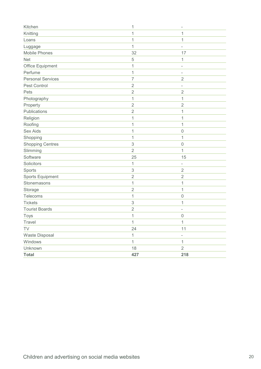| Kitchen                  | 1                         | $\overline{\phantom{a}}$ |
|--------------------------|---------------------------|--------------------------|
| Knitting                 | 1                         | 1                        |
| Loans                    | 1                         | 1                        |
| Luggage                  | 1                         | $\overline{\phantom{a}}$ |
| Mobile Phones            | 32                        | 17                       |
| <b>Net</b>               | $\sqrt{5}$                | 1                        |
| Office Equipment         | 1                         | ÷                        |
| Perfume                  | 1                         | $\overline{\phantom{a}}$ |
| <b>Personal Services</b> | $\overline{7}$            | $\overline{2}$           |
| Pest Control             | $\sqrt{2}$                | $\qquad \qquad -$        |
| Pets                     | $\sqrt{2}$                | $\overline{2}$           |
| Photography              | $\mathbf 1$               | 1                        |
| Property                 | $\overline{2}$            | $\overline{2}$           |
| Publications             | $\overline{2}$            | 1                        |
| Religion                 | 1                         | 1                        |
| Roofing                  | 1                         | 1                        |
| <b>Sex Aids</b>          | 1                         | $\mathbf 0$              |
| Shopping                 | 1                         | 1                        |
| <b>Shopping Centres</b>  | $\ensuremath{\mathsf{3}}$ | $\mathbf 0$              |
| Slimming                 | $\sqrt{2}$                | 1                        |
| Software                 | 25                        | 15                       |
| Solicitors               | 1                         | $\overline{\phantom{a}}$ |
| Sports                   | $\ensuremath{\mathsf{3}}$ | $\sqrt{2}$               |
| Sports Equipment         | $\overline{2}$            | $\overline{2}$           |
| Stonemasons              | $\mathbf 1$               | 1                        |
| Storage                  | $\sqrt{2}$                | 1                        |
| Telecoms                 | 1                         | $\mathsf{O}\xspace$      |
| <b>Tickets</b>           | $\ensuremath{\mathsf{3}}$ | 1                        |
| <b>Tourist Boards</b>    | $\sqrt{2}$                | $\overline{\phantom{a}}$ |
| Toys                     | 1                         | $\mathbf 0$              |
| Travel                   | $\mathbf 1$               | $\mathbf 1$              |
| TV                       | 24                        | 11                       |
| Waste Disposal           | $\mathbf 1$               | $\overline{\phantom{0}}$ |
| Windows                  | 1                         | 1                        |
| Unknown                  | 18                        | $\sqrt{2}$               |
| <b>Total</b>             | 427                       | 218                      |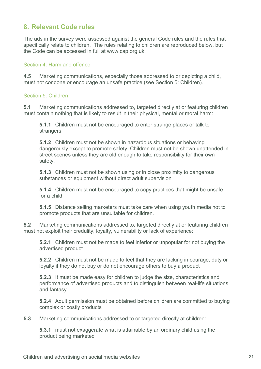# **8. Relevant Code rules**

The ads in the survey were assessed against the general Code rules and the rules that specifically relate to children. The rules relating to children are reproduced below, but the Code can be accessed in full at www.cap.org.uk.

#### Section 4: Harm and offence

**4.5** Marketing communications, especially those addressed to or depicting a child, must not condone or encourage an unsafe practice (see Section 5: Children).

#### Section 5: Children

**5.1** Marketing communications addressed to, targeted directly at or featuring children must contain nothing that is likely to result in their physical, mental or moral harm:

**5.1.1** Children must not be encouraged to enter strange places or talk to strangers

**5.1.2** Children must not be shown in hazardous situations or behaving dangerously except to promote safety. Children must not be shown unattended in street scenes unless they are old enough to take responsibility for their own safety.

**5.1.3** Children must not be shown using or in close proximity to dangerous substances or equipment without direct adult supervision

**5.1.4** Children must not be encouraged to copy practices that might be unsafe for a child

**5.1.5** Distance selling marketers must take care when using youth media not to promote products that are unsuitable for children.

**5.2** Marketing communications addressed to, targeted directly at or featuring children must not exploit their credulity, loyalty, vulnerability or lack of experience:

**5.2.1** Children must not be made to feel inferior or unpopular for not buying the advertised product

**5.2.2** Children must not be made to feel that they are lacking in courage, duty or loyalty if they do not buy or do not encourage others to buy a product

**5.2.3** It must be made easy for children to judge the size, characteristics and performance of advertised products and to distinguish between real-life situations and fantasy

**5.2.4** Adult permission must be obtained before children are committed to buying complex or costly products

**5.3** Marketing communications addressed to or targeted directly at children:

**5.3.1** must not exaggerate what is attainable by an ordinary child using the product being marketed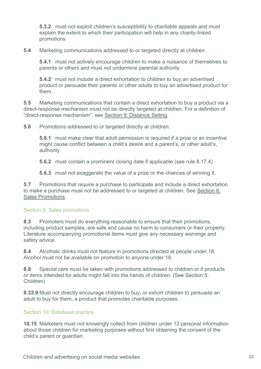**5.3.2** must not exploit children's susceptibility to charitable appeals and must explain the extent to which their participation will help in any charity-linked promotions

**5.4** Marketing communications addressed to or targeted directly at children:

**5.4.1** must not actively encourage children to make a nuisance of themselves to parents or others and must not undermine parental authority

**5.4.2** must not include a direct exhortation to children to buy an advertised product or persuade their parents or other adults to buy an advertised product for them.

**5.5** Marketing communications that contain a direct exhortation to buy a product via a direct-response mechanism must not be directly targeted at children. For a definition of "direct-response mechanism", see Section 9: Distance Selling.

**5.6** Promotions addressed to or targeted directly at children:

**5.6.1** must make clear that adult permission is required if a prize or an incentive might cause conflict between a child's desire and a parent's, or other adult's, authority

**5.6.2** must contain a prominent closing date if applicable (see rule 8.17.4)

**5.6.3** must not exaggerate the value of a prize or the chances of winning it.

**5.7** Promotions that require a purchase to participate and include a direct exhortation to make a purchase must not be addressed to or targeted at children. See Section 8: Sales Promotions.

#### Section 8: Sales promotions

**8.3** Promoters must do everything reasonable to ensure that their promotions, including product samples, are safe and cause no harm to consumers or their property. Literature accompanying promotional items must give any necessary warnings and safety advice.

**8.4** Alcoholic drinks must not feature in promotions directed at people under 18. Alcohol must not be available on promotion to anyone under 18.

**8.8** Special care must be taken with promotions addressed to children or if products or items intended for adults might fall into the hands of children. (See Section 5: Children)

**8.33.9** Must not directly encourage children to buy, or exhort children to persuade an adult to buy for them, a product that promotes charitable purposes.

# Section 10: Database practice

**10.15** Marketers must not knowingly collect from children under 12 personal information about those children for marketing purposes without first obtaining the consent of the child's parent or guardian.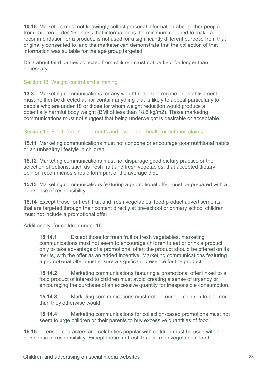**10.16** Marketers must not knowingly collect personal information about other people from children under 16 unless that information is the minimum required to make a recommendation for a product, is not used for a significantly different purpose from that originally consented to, and the marketer can demonstrate that the collection of that information was suitable for the age group targeted.

Data about third parties collected from children must not be kept for longer than necessary

## Section 13: Weight control and slimming

**13.3** Marketing communications for any weight-reduction regime or establishment must neither be directed at nor contain anything that is likely to appeal particularly to people who are under 18 or those for whom weight reduction would produce a potentially harmful body weight (BMI of less than 18.5 kg/m2). Those marketing communications must not suggest that being underweight is desirable or acceptable.

#### Section 15: Food, food supplements and associated health or nutrition claims

**15.11** Marketing communications must not condone or encourage poor nutritional habits or an unhealthy lifestyle in children.

**15.12** Marketing communications must not disparage good dietary practice or the selection of options, such as fresh fruit and fresh vegetables, that accepted dietary opinion recommends should form part of the average diet.

**15.13** Marketing communications featuring a promotional offer must be prepared with a due sense of responsibility.

**15.14** Except those for fresh fruit and fresh vegetables, food product advertisements that are targeted through their content directly at pre-school or primary school children must not include a promotional offer.

Additionally, for children under 16:

**15.14.1** Except those for fresh fruit or fresh vegetables, marketing communications must not seem to encourage children to eat or drink a product only to take advantage of a promotional offer: the product should be offered on its merits, with the offer as an added incentive. Marketing communications featuring a promotional offer must ensure a significant presence for the product.

**15.14.2** Marketing communications featuring a promotional offer linked to a food product of interest to children must avoid creating a sense of urgency or encouraging the purchase of an excessive quantity for irresponsible consumption.

**15.14.3** Marketing communications must not encourage children to eat more than they otherwise would.

**15.14.4** Marketing communications for collection-based promotions must not seem to urge children or their parents to buy excessive quantities of food.

**15.15** Licensed characters and celebrities popular with children must be used with a due sense of responsibility. Except those for fresh fruit or fresh vegetables, food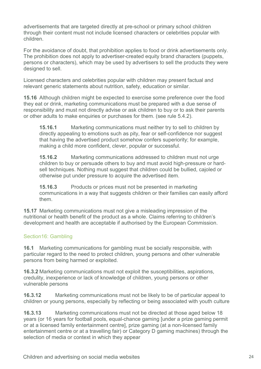advertisements that are targeted directly at pre-school or primary school children through their content must not include licensed characters or celebrities popular with children.

For the avoidance of doubt, that prohibition applies to food or drink advertisements only. The prohibition does not apply to advertiser-created equity brand characters (puppets, persons or characters), which may be used by advertisers to sell the products they were designed to sell.

Licensed characters and celebrities popular with children may present factual and relevant generic statements about nutrition, safety, education or similar.

**15.16** Although children might be expected to exercise some preference over the food they eat or drink, marketing communications must be prepared with a due sense of responsibility and must not directly advise or ask children to buy or to ask their parents or other adults to make enquiries or purchases for them. (see rule 5.4.2).

**15.16.1** Marketing communications must neither try to sell to children by directly appealing to emotions such as pity, fear or self-confidence nor suggest that having the advertised product somehow confers superiority; for example, making a child more confident, clever, popular or successful.

**15.16.2** Marketing communications addressed to children must not urge children to buy or persuade others to buy and must avoid high-pressure or hardsell techniques. Nothing must suggest that children could be bullied, cajoled or otherwise put under pressure to acquire the advertised item.

**15.16.3** Products or prices must not be presented in marketing communications in a way that suggests children or their families can easily afford them.

**15.17** Marketing communications must not give a misleading impression of the nutritional or health benefit of the product as a whole. Claims referring to children's development and health are acceptable if authorised by the European Commission.

# Section16: Gambling

**16.1** Marketing communications for gambling must be socially responsible, with particular regard to the need to protect children, young persons and other vulnerable persons from being harmed or exploited.

**16.3.2** Marketing communications must not exploit the susceptibilities, aspirations, credulity, inexperience or lack of knowledge of children, young persons or other vulnerable persons

**16.3.12** Marketing communications must not be likely to be of particular appeal to children or young persons, especially by reflecting or being associated with youth culture

**16.3.13** Marketing communications must not be directed at those aged below 18 years (or 16 years for football pools, equal-chance gaming [under a prize gaming permit or at a licensed family entertainment centre], prize gaming (at a non-licensed family entertainment centre or at a travelling fair) or Category D gaming machines) through the selection of media or context in which they appear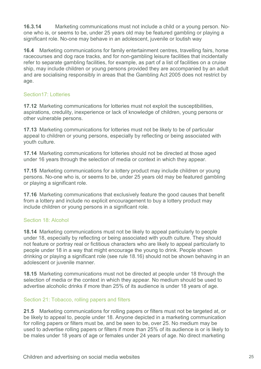**16.3.14** Marketing communications must not include a child or a young person. Noone who is, or seems to be, under 25 years old may be featured gambling or playing a significant role. No-one may behave in an adolescent, juvenile or loutish way

**16.4** Marketing communications for family entertainment centres, travelling fairs, horse racecourses and dog race tracks, and for non-gambling leisure facilities that incidentally refer to separate gambling facilities, for example, as part of a list of facilities on a cruise ship, may include children or young persons provided they are accompanied by an adult and are socialising responsibly in areas that the Gambling Act 2005 does not restrict by age.

# Section17: Lotteries

**17.12** Marketing communications for lotteries must not exploit the susceptibilities, aspirations, credulity, inexperience or lack of knowledge of children, young persons or other vulnerable persons.

**17.13** Marketing communications for lotteries must not be likely to be of particular appeal to children or young persons, especially by reflecting or being associated with youth culture.

**17.14** Marketing communications for lotteries should not be directed at those aged under 16 years through the selection of media or context in which they appear.

**17.15** Marketing communications for a lottery product may include children or young persons. No-one who is, or seems to be, under 25 years old may be featured gambling or playing a significant role.

**17.16** Marketing communications that exclusively feature the good causes that benefit from a lottery and include no explicit encouragement to buy a lottery product may include children or young persons in a significant role.

# Section 18: Alcohol

**18.14** Marketing communications must not be likely to appeal particularly to people under 18, especially by reflecting or being associated with youth culture. They should not feature or portray real or fictitious characters who are likely to appeal particularly to people under 18 in a way that might encourage the young to drink. People shown drinking or playing a significant role (see rule 18.16) should not be shown behaving in an adolescent or juvenile manner.

**18.15** Marketing communications must not be directed at people under 18 through the selection of media or the context in which they appear. No medium should be used to advertise alcoholic drinks if more than 25% of its audience is under 18 years of age.

# Section 21: Tobacco, rolling papers and filters

**21.5** Marketing communications for rolling papers or filters must not be targeted at, or be likely to appeal to, people under 18. Anyone depicted in a marketing communication for rolling papers or filters must be, and be seen to be, over 25. No medium may be used to advertise rolling papers or filters if more than 25% of its audience is or is likely to be males under 18 years of age or females under 24 years of age. No direct marketing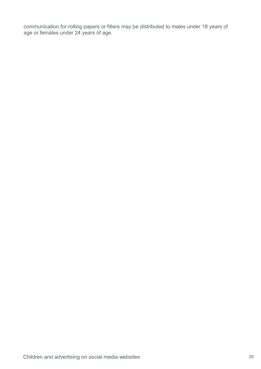communication for rolling papers or filters may be distributed to males under 18 years of age or females under 24 years of age.